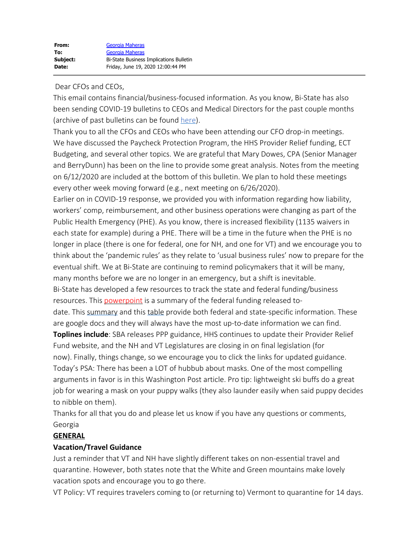### Dear CFOs and CEOs,

This email contains financial/business-focused information. As you know, Bi-State has also been sending COVID-19 bulletins to CEOs and Medical Directors for the past couple months (archive of past bulletins can be found [here](https://bistatepca.org/health-center-resources/covid-bulletins-resources/bi-state-covid-19-bulletins)).

Thank you to all the CFOs and CEOs who have been attending our CFO drop-in meetings. We have discussed the Paycheck Protection Program, the HHS Provider Relief funding, ECT Budgeting, and several other topics. We are grateful that Mary Dowes, CPA (Senior Manager and BerryDunn) has been on the line to provide some great analysis. Notes from the meeting on 6/12/2020 are included at the bottom of this bulletin. We plan to hold these meetings every other week moving forward (e.g., next meeting on 6/26/2020).

Earlier on in COVID-19 response, we provided you with information regarding how liability, workers' comp, reimbursement, and other business operations were changing as part of the Public Health Emergency (PHE). As you know, there is increased flexibility (1135 waivers in each state for example) during a PHE. There will be a time in the future when the PHE is no longer in place (there is one for federal, one for NH, and one for VT) and we encourage you to think about the 'pandemic rules' as they relate to 'usual business rules' now to prepare for the eventual shift. We at Bi-State are continuing to remind policymakers that it will be many, many months before we are no longer in an emergency, but a shift is inevitable.

Bi-State has developed a few resources to track the state and federal funding/business resources. This **powerpoint** is a summary of the federal funding released to-

date. This [summary](https://drive.google.com/file/d/15mc3V8Dr1baKYgds9Q11_9Qi3XOw7tix/view) and this [table](https://drive.google.com/open?id=1wmsUmXu9Jjhh1_oc9_7SZqOicvRbexke) provide both federal and state-specific information. These are google docs and they will always have the most up-to-date information we can find.

**Toplines include**: SBA releases PPP guidance, HHS continues to update their Provider Relief Fund website, and the NH and VT Legislatures are closing in on final legislation (for now). Finally, things change, so we encourage you to click the links for updated guidance. Today's PSA: There has been a LOT of hubbub about masks. One of the most compelling arguments in favor is in this Washington Post article. Pro tip: lightweight ski buffs do a great job for wearing a mask on your puppy walks (they also launder easily when said puppy decides to nibble on them).

Thanks for all that you do and please let us know if you have any questions or comments, Georgia

### **GENERAL**

### **Vacation/Travel Guidance**

Just a reminder that VT and NH have slightly different takes on non-essential travel and quarantine. However, both states note that the White and Green mountains make lovely vacation spots and encourage you to go there.

VT Policy: VT requires travelers coming to (or returning to) Vermont to quarantine for 14 days.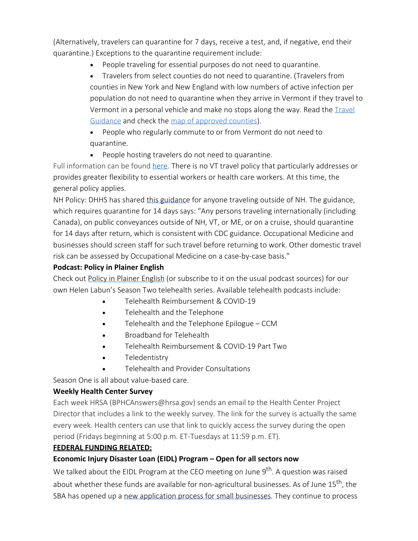(Alternatively, travelers can quarantine for 7 days, receive a test, and, if negative, end their quarantine.) Exceptions to the quarantine requirement include:

· People traveling for essential purposes do not need to quarantine.

· Travelers from select counties do not need to quarantine. (Travelers from counties in New York and New England with low numbers of active infection per population do not need to quarantine when they arrive in Vermont if they travel to Vermont in a personal vehicle and make no stops along the way. Read the [Travel](https://www.healthvermont.gov/sites/default/files/documents/pdf/COVID19-Vermont-Visitors-and-Returning-Travelers.pdf) [Guidance](https://www.healthvermont.gov/sites/default/files/documents/pdf/COVID19-Vermont-Visitors-and-Returning-Travelers.pdf) and check the map of [approved](https://accd.vermont.gov/covid-19/restart/cross-state-travel) counties).

- · People who regularly commute to or from Vermont do not need to quarantine.
- · People hosting travelers do not need to quarantine.

Full information can be found [here](https://www.healthvermont.gov/response/coronavirus-covid-19/traveling-vermont). There is no VT travel policy that particularly addresses or provides greater flexibility to essential workers or health care workers. At this time, the general policy applies.

NH Policy: DHHS has shared this [guidance](https://www.dhhs.nh.gov/dphs/cdcs/covid19/documents/employee-travel-guidance.pdf) for anyone traveling outside of NH. The guidance, which requires quarantine for 14 days says: "Any persons traveling internationally (including Canada), on public conveyances outside of NH, VT, or ME, or on a cruise, should quarantine for 14 days after return, which is consistent with CDC guidance. Occupational Medicine and businesses should screen staff for such travel before returning to work. Other domestic travel risk can be assessed by Occupational Medicine on a case-by-case basis."

### **Podcast: Policy in Plainer English**

Check out Policy in [Plainer](http://www.plainerenglish.org/) English (or subscribe to it on the usual podcast sources) for our own Helen Labun's Season Two telehealth series. Available telehealth podcasts include:

- · Telehealth Reimbursement & COVID-19
- · Telehealth and the Telephone
- Telehealth and the Telephone Epilogue CCM
- Broadband for Telehealth
- Telehealth Reimbursement & COVID-19 Part Two
- · Teledentistry
- Telehealth and Provider Consultations

Season One is all about value-based care.

### **Weekly Health Center Survey**

Each week HRSA (BPHCAnswers@hrsa.gov) sends an email to the Health Center Project Director that includes a link to the weekly survey. The link for the survey is actually the same every week. Health centers can use that link to quickly access the survey during the open period (Fridays beginning at 5:00 p.m. ET-Tuesdays at 11:59 p.m. ET).

### **FEDERAL FUNDING RELATED:**

### **Economic Injury Disaster Loan (EIDL) Program – Open for all sectors now**

We talked about the EIDL Program at the CEO meeting on June 9<sup>th</sup>. A question was raised about whether these funds are available for non-agricultural businesses. As of June  $15<sup>th</sup>$ , the SBA has opened up a new [application](https://www.sba.gov/funding-programs/loans/coronavirus-relief-options/economic-injury-disaster-loan-emergency-advance) process for small businesses. They continue to process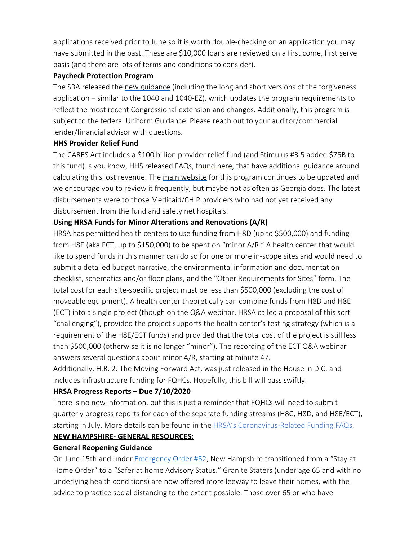applications received prior to June so it is worth double-checking on an application you may have submitted in the past. These are \$10,000 loans are reviewed on a first come, first serve basis (and there are lots of terms and conditions to consider).

#### **Paycheck Protection Program**

The SBA released the new [guidance](https://www.sba.gov/funding-programs/loans/coronavirus-relief-options/paycheck-protection-program) (including the long and short versions of the forgiveness application – similar to the 1040 and 1040-EZ), which updates the program requirements to reflect the most recent Congressional extension and changes. Additionally, this program is subject to the federal Uniform Guidance. Please reach out to your auditor/commercial lender/financial advisor with questions.

#### **HHS Provider Relief Fund**

The CARES Act includes a \$100 billion provider relief fund (and Stimulus #3.5 added \$75B to this fund). s you know, HHS released FAQs, [found](https://www.hhs.gov/sites/default/files/provider-relief-fund-general-distribution-faqs.pdf) here, that have additional guidance around calculating this lost revenue. The main [website](https://www.hhs.gov/coronavirus/cares-act-provider-relief-fund/index.html) for this program continues to be updated and we encourage you to review it frequently, but maybe not as often as Georgia does. The latest disbursements were to those Medicaid/CHIP providers who had not yet received any disbursement from the fund and safety net hospitals.

## **Using HRSA Funds for Minor Alterations and Renovations (A/R)**

HRSA has permitted health centers to use funding from H8D (up to \$500,000) and funding from H8E (aka ECT, up to \$150,000) to be spent on "minor A/R." A health center that would like to spend funds in this manner can do so for one or more in-scope sites and would need to submit a detailed budget narrative, the environmental information and documentation checklist, schematics and/or floor plans, and the "Other Requirements for Sites" form. The total cost for each site-specific project must be less than \$500,000 (excluding the cost of moveable equipment). A health center theoretically can combine funds from H8D and H8E (ECT) into a single project (though on the Q&A webinar, HRSA called a proposal of this sort "challenging"), provided the project supports the health center's testing strategy (which is a requirement of the H8E/ECT funds) and provided that the total cost of the project is still less than \$500,000 (otherwise it is no longer "minor"). The [recording](https://hrsaseminar.adobeconnect.com/pb7k9hwoq9wk/?proto=true) of the ECT Q&A webinar answers several questions about minor A/R, starting at minute 47.

Additionally, H.R. 2: The Moving Forward Act, was just released in the House in D.C. and includes infrastructure funding for FQHCs. Hopefully, this bill will pass swiftly.

### **HRSA Progress Reports – Due 7/10/2020**

There is no new information, but this is just a reminder that FQHCs will need to submit quarterly progress reports for each of the separate funding streams (H8C, H8D, and H8E/ECT), starting in July. More details can be found in the HRSA's [Coronavirus-Related](https://bphc.hrsa.gov/program-opportunities/coronavirus-disease-2019/faq) Funding FAQs.

# **NEW HAMPSHIRE- GENERAL RESOURCES:**

### **General Reopening Guidance**

On June 15th and under [Emergency](https://www.governor.nh.gov/sites/g/files/ehbemt336/files/files/inline-documents/emergency-order-52.pdf) Order #52, New Hampshire transitioned from a "Stay at Home Order" to a "Safer at home Advisory Status." Granite Staters (under age 65 and with no underlying health conditions) are now offered more leeway to leave their homes, with the advice to practice social distancing to the extent possible. Those over 65 or who have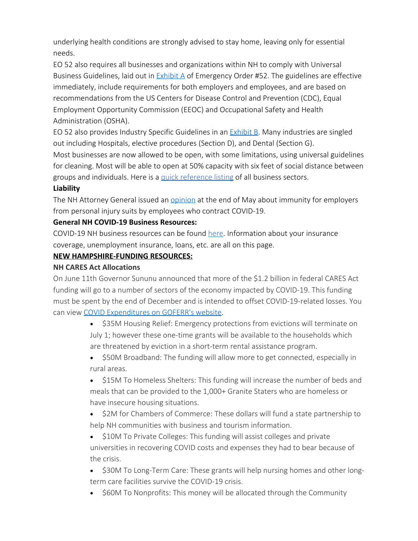underlying health conditions are strongly advised to stay home, leaving only for essential needs.

EO 52 also requires all businesses and organizations within NH to comply with Universal Business Guidelines, laid out in [Exhibit](https://www.governor.nh.gov/sites/g/files/ehbemt336/files/files/inline-documents/emergency-order-52-a.pdf) A of Emergency Order #52. The guidelines are effective immediately, include requirements for both employers and employees, and are based on recommendations from the US Centers for Disease Control and Prevention (CDC), Equal Employment Opportunity Commission (EEOC) and Occupational Safety and Health Administration (OSHA).

EO 52 also provides Industry Specific Guidelines in an [Exhibit](https://www.governor.nh.gov/sites/g/files/ehbemt336/files/files/inline-documents/emergency-order-52-b_0.pdf) B. Many industries are singled out including Hospitals, elective procedures (Section D), and Dental (Section G).

Most businesses are now allowed to be open, with some limitations, using universal guidelines for cleaning. Most will be able to open at 50% capacity with six feet of social distance between groups and individuals. Here is a quick [reference](https://www.nheconomy.com/whatsopen) listing of all business sectors.

## **Liability**

The NH Attorney General issued an [opinion](https://www.doj.nh.gov/public-documents/documents/opinion-2020-02-employer-liability.pdf) at the end of May about immunity for employers from personal injury suits by employees who contract COVID-19.

## **General NH COVID-19 Business Resources:**

COVID-19 NH business resources can be found [here](https://www.nheconomy.com/covid19). Information about your insurance coverage, unemployment insurance, loans, etc. are all on this page.

## **NEW HAMPSHIRE-FUNDING RESOURCES:**

### **NH CARES Act Allocations**

On June 11th Governor Sununu announced that more of the \$1.2 billion in federal CARES Act funding will go to a number of sectors of the economy impacted by COVID-19. This funding must be spent by the end of December and is intended to offset COVID-19-related losses. You can view COVID [Expenditures](https://www.goferr.nh.gov/covid-expenditures) on GOFERR's website.

- \$35M Housing Relief: Emergency protections from evictions will terminate on July 1; however these one-time grants will be available to the households which are threatened by eviction in a short-term rental assistance program.
- · \$50M Broadband: The funding will allow more to get connected, especially in rural areas.
- \$15M To Homeless Shelters: This funding will increase the number of beds and meals that can be provided to the 1,000+ Granite Staters who are homeless or have insecure housing situations.
- \$2M for Chambers of Commerce: These dollars will fund a state partnership to help NH communities with business and tourism information.
- \$10M To Private Colleges: This funding will assist colleges and private universities in recovering COVID costs and expenses they had to bear because of the crisis.
- \$30M To Long-Term Care: These grants will help nursing homes and other longterm care facilities survive the COVID-19 crisis.
- \$60M To Nonprofits: This money will be allocated through the Community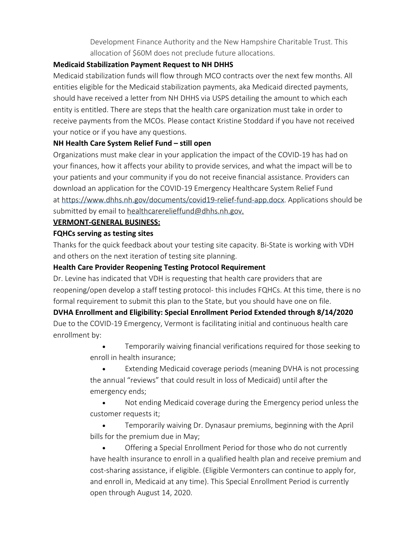Development Finance Authority and the New Hampshire Charitable Trust. This allocation of \$60M does not preclude future allocations.

#### **Medicaid Stabilization Payment Request to NH DHHS**

Medicaid stabilization funds will flow through MCO contracts over the next few months. All entities eligible for the Medicaid stabilization payments, aka Medicaid directed payments, should have received a letter from NH DHHS via USPS detailing the amount to which each entity is entitled. There are steps that the health care organization must take in order to receive payments from the MCOs. Please contact Kristine Stoddard if you have not received your notice or if you have any questions.

### **NH Health Care System Relief Fund – still open**

Organizations must make clear in your application the impact of the COVID-19 has had on your finances, how it affects your ability to provide services, and what the impact will be to your patients and your community if you do not receive financial assistance. Providers can download an application for the COVID-19 Emergency Healthcare System Relief Fund at <https://www.dhhs.nh.gov/documents/covid19-relief-fund-app.docx>. Applications should be submitted by email to [healthcarerelieffund@dhhs.nh.gov](mailto:healthcarerelieffund@dhhs.nh.gov).

### **VERMONT-GENERAL BUSINESS:**

### **FQHCs serving as testing sites**

Thanks for the quick feedback about your testing site capacity. Bi-State is working with VDH and others on the next iteration of testing site planning.

### **Health Care Provider Reopening Testing Protocol Requirement**

Dr. Levine has indicated that VDH is requesting that health care providers that are reopening/open develop a staff testing protocol- this includes FQHCs. At this time, there is no formal requirement to submit this plan to the State, but you should have one on file.

**DVHA Enrollment and Eligibility: Special Enrollment Period Extended through 8/14/2020** Due to the COVID-19 Emergency, Vermont is facilitating initial and continuous health care enrollment by:

> Temporarily waiving financial verifications required for those seeking to enroll in health insurance;

> Extending Medicaid coverage periods (meaning DVHA is not processing the annual "reviews" that could result in loss of Medicaid) until after the emergency ends;

> Not ending Medicaid coverage during the Emergency period unless the customer requests it;

Temporarily waiving Dr. Dynasaur premiums, beginning with the April bills for the premium due in May;

· Offering a Special Enrollment Period for those who do not currently have health insurance to enroll in a qualified health plan and receive premium and cost-sharing assistance, if eligible. (Eligible Vermonters can continue to apply for, and enroll in, Medicaid at any time). This Special Enrollment Period is currently open through August 14, 2020.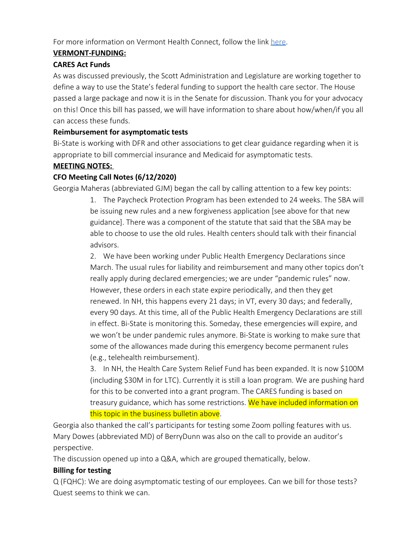For more information on Vermont Health Connect, follow the link [here](https://portal.healthconnect.vermont.gov/VTHBELand/welcome.action).

## **VERMONT-FUNDING:**

### **CARES Act Funds**

As was discussed previously, the Scott Administration and Legislature are working together to define a way to use the State's federal funding to support the health care sector. The House passed a large package and now it is in the Senate for discussion. Thank you for your advocacy on this! Once this bill has passed, we will have information to share about how/when/if you all can access these funds.

### **Reimbursement for asymptomatic tests**

Bi-State is working with DFR and other associations to get clear guidance regarding when it is appropriate to bill commercial insurance and Medicaid for asymptomatic tests.

### **MEETING NOTES:**

## **CFO Meeting Call Notes (6/12/2020)**

Georgia Maheras (abbreviated GJM) began the call by calling attention to a few key points:

1. The Paycheck Protection Program has been extended to 24 weeks. The SBA will be issuing new rules and a new forgiveness application [see above for that new guidance]. There was a component of the statute that said that the SBA may be able to choose to use the old rules. Health centers should talk with their financial advisors.

2. We have been working under Public Health Emergency Declarations since March. The usual rules for liability and reimbursement and many other topics don't really apply during declared emergencies; we are under "pandemic rules" now. However, these orders in each state expire periodically, and then they get renewed. In NH, this happens every 21 days; in VT, every 30 days; and federally, every 90 days. At this time, all of the Public Health Emergency Declarations are still in effect. Bi-State is monitoring this. Someday, these emergencies will expire, and we won't be under pandemic rules anymore. Bi-State is working to make sure that some of the allowances made during this emergency become permanent rules (e.g., telehealth reimbursement).

3. In NH, the Health Care System Relief Fund has been expanded. It is now \$100M (including \$30M in for LTC). Currently it is still a loan program. We are pushing hard for this to be converted into a grant program. The CARES funding is based on treasury guidance, which has some restrictions. We have included information on this topic in the business bulletin above.

Georgia also thanked the call's participants for testing some Zoom polling features with us. Mary Dowes (abbreviated MD) of BerryDunn was also on the call to provide an auditor's perspective.

The discussion opened up into a Q&A, which are grouped thematically, below.

### **Billing for testing**

Q (FQHC): We are doing asymptomatic testing of our employees. Can we bill for those tests? Quest seems to think we can.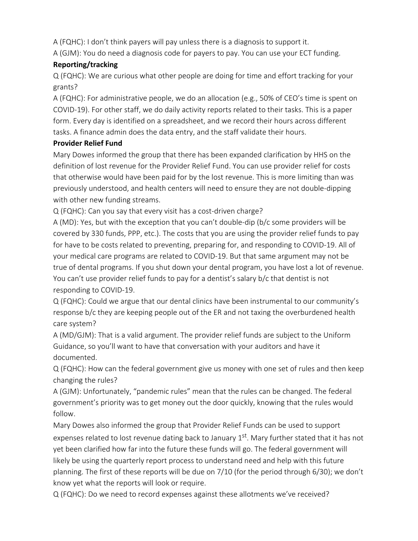A (FQHC): I don't think payers will pay unless there is a diagnosis to support it.

A (GJM): You do need a diagnosis code for payers to pay. You can use your ECT funding.

# **Reporting/tracking**

Q (FQHC): We are curious what other people are doing for time and effort tracking for your grants?

A (FQHC): For administrative people, we do an allocation (e.g., 50% of CEO's time is spent on COVID-19). For other staff, we do daily activity reports related to their tasks. This is a paper form. Every day is identified on a spreadsheet, and we record their hours across different tasks. A finance admin does the data entry, and the staff validate their hours.

## **Provider Relief Fund**

Mary Dowes informed the group that there has been expanded clarification by HHS on the definition of lost revenue for the Provider Relief Fund. You can use provider relief for costs that otherwise would have been paid for by the lost revenue. This is more limiting than was previously understood, and health centers will need to ensure they are not double-dipping with other new funding streams.

Q (FQHC): Can you say that every visit has a cost-driven charge?

A (MD): Yes, but with the exception that you can't double-dip (b/c some providers will be covered by 330 funds, PPP, etc.). The costs that you are using the provider relief funds to pay for have to be costs related to preventing, preparing for, and responding to COVID-19. All of your medical care programs are related to COVID-19. But that same argument may not be true of dental programs. If you shut down your dental program, you have lost a lot of revenue. You can't use provider relief funds to pay for a dentist's salary b/c that dentist is not responding to COVID-19.

Q (FQHC): Could we argue that our dental clinics have been instrumental to our community's response b/c they are keeping people out of the ER and not taxing the overburdened health care system?

A (MD/GJM): That is a valid argument. The provider relief funds are subject to the Uniform Guidance, so you'll want to have that conversation with your auditors and have it documented.

Q (FQHC): How can the federal government give us money with one set of rules and then keep changing the rules?

A (GJM): Unfortunately, "pandemic rules" mean that the rules can be changed. The federal government's priority was to get money out the door quickly, knowing that the rules would follow.

Mary Dowes also informed the group that Provider Relief Funds can be used to support expenses related to lost revenue dating back to January 1<sup>st</sup>. Mary further stated that it has not yet been clarified how far into the future these funds will go. The federal government will likely be using the quarterly report process to understand need and help with this future planning. The first of these reports will be due on 7/10 (for the period through 6/30); we don't know yet what the reports will look or require.

Q (FQHC): Do we need to record expenses against these allotments we've received?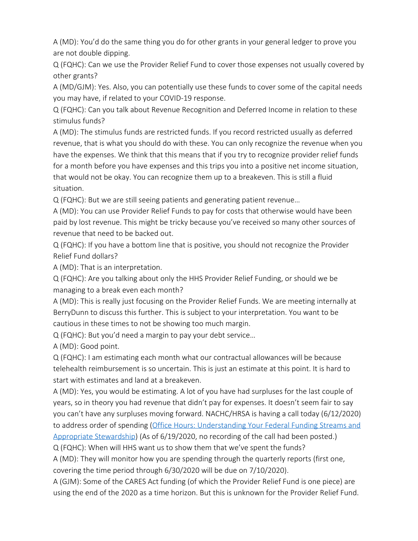A (MD): You'd do the same thing you do for other grants in your general ledger to prove you are not double dipping.

Q (FQHC): Can we use the Provider Relief Fund to cover those expenses not usually covered by other grants?

A (MD/GJM): Yes. Also, you can potentially use these funds to cover some of the capital needs you may have, if related to your COVID-19 response.

Q (FQHC): Can you talk about Revenue Recognition and Deferred Income in relation to these stimulus funds?

A (MD): The stimulus funds are restricted funds. If you record restricted usually as deferred revenue, that is what you should do with these. You can only recognize the revenue when you have the expenses. We think that this means that if you try to recognize provider relief funds for a month before you have expenses and this trips you into a positive net income situation, that would not be okay. You can recognize them up to a breakeven. This is still a fluid situation.

Q (FQHC): But we are still seeing patients and generating patient revenue…

A (MD): You can use Provider Relief Funds to pay for costs that otherwise would have been paid by lost revenue. This might be tricky because you've received so many other sources of revenue that need to be backed out.

Q (FQHC): If you have a bottom line that is positive, you should not recognize the Provider Relief Fund dollars?

A (MD): That is an interpretation.

Q (FQHC): Are you talking about only the HHS Provider Relief Funding, or should we be managing to a break even each month?

A (MD): This is really just focusing on the Provider Relief Funds. We are meeting internally at BerryDunn to discuss this further. This is subject to your interpretation. You want to be cautious in these times to not be showing too much margin.

Q (FQHC): But you'd need a margin to pay your debt service…

A (MD): Good point.

Q (FQHC): I am estimating each month what our contractual allowances will be because telehealth reimbursement is so uncertain. This is just an estimate at this point. It is hard to start with estimates and land at a breakeven.

A (MD): Yes, you would be estimating. A lot of you have had surpluses for the last couple of years, so in theory you had revenue that didn't pay for expenses. It doesn't seem fair to say you can't have any surpluses moving forward. NACHC/HRSA is having a call today (6/12/2020) to address order of spending (Office Hours: [Understanding](http://www.nachc.org/trainings-and-conferences/financialoperations-management/37400-2/) Your Federal Funding Streams and Appropriate [Stewardship](http://www.nachc.org/trainings-and-conferences/financialoperations-management/37400-2/)) (As of 6/19/2020, no recording of the call had been posted.) Q (FQHC): When will HHS want us to show them that we've spent the funds?

A (MD): They will monitor how you are spending through the quarterly reports (first one, covering the time period through 6/30/2020 will be due on 7/10/2020).

A (GJM): Some of the CARES Act funding (of which the Provider Relief Fund is one piece) are using the end of the 2020 as a time horizon. But this is unknown for the Provider Relief Fund.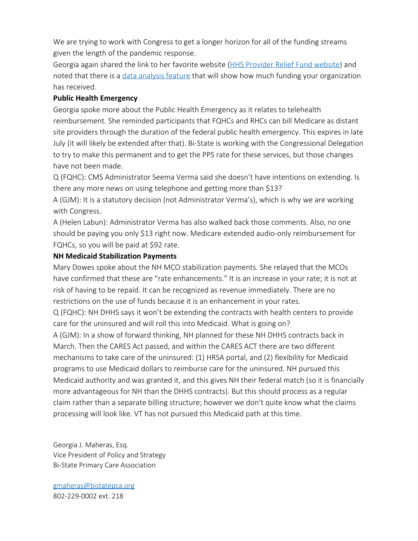We are trying to work with Congress to get a longer horizon for all of the funding streams given the length of the pandemic response.

Georgia again shared the link to her favorite website (HHS [Provider](https://www.hhs.gov/coronavirus/cares-act-provider-relief-fund/index.html) Relief Fund website) and noted that there is a data [analysis](https://www.hhs.gov/coronavirus/cares-act-provider-relief-fund/data/index.html) feature that will show how much funding your organization has received.

#### **Public Health Emergency**

Georgia spoke more about the Public Health Emergency as it relates to telehealth reimbursement. She reminded participants that FQHCs and RHCs can bill Medicare as distant site providers through the duration of the federal public health emergency. This expires in late July (it will likely be extended after that). Bi-State is working with the Congressional Delegation to try to make this permanent and to get the PPS rate for these services, but those changes have not been made.

Q (FQHC): CMS Administrator Seema Verma said she doesn't have intentions on extending. Is there any more news on using telephone and getting more than \$13?

A (GJM): It is a statutory decision (not Administrator Verma's), which is why we are working with Congress.

A (Helen Labun): Administrator Verma has also walked back those comments. Also, no one should be paying you only \$13 right now. Medicare extended audio-only reimbursement for FQHCs, so you will be paid at \$92 rate.

#### **NH Medicaid Stabilization Payments**

Mary Dowes spoke about the NH MCO stabilization payments. She relayed that the MCOs have confirmed that these are "rate enhancements." It is an increase in your rate; it is not at risk of having to be repaid. It can be recognized as revenue immediately. There are no restrictions on the use of funds because it is an enhancement in your rates. Q (FQHC): NH DHHS says it won't be extending the contracts with health centers to provide care for the uninsured and will roll this into Medicaid. What is going on? A (GJM): In a show of forward thinking, NH planned for these NH DHHS contracts back in March. Then the CARES Act passed, and within the CARES ACT there are two different mechanisms to take care of the uninsured: (1) HRSA portal, and (2) flexibility for Medicaid programs to use Medicaid dollars to reimburse care for the uninsured. NH pursued this Medicaid authority and was granted it, and this gives NH their federal match (so it is financially more advantageous for NH than the DHHS contracts). But this should process as a regular claim rather than a separate billing structure; however we don't quite know what the claims processing will look like. VT has not pursued this Medicaid path at this time.

Georgia J. Maheras, Esq. Vice President of Policy and Strategy Bi-State Primary Care Association

[gmaheras@bistatepca.org](mailto:gmaheras@bistatepca.org) 802-229-0002 ext. 218